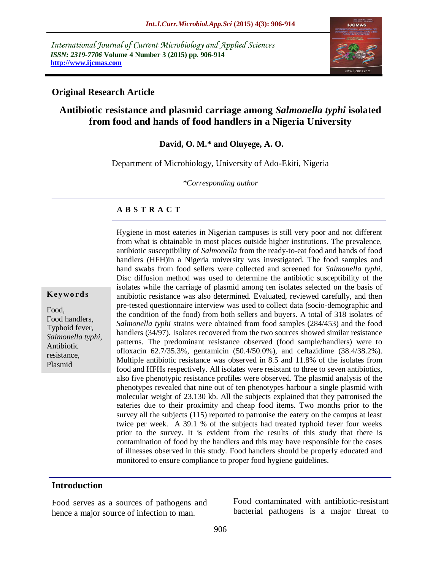*International Journal of Current Microbiology and Applied Sciences ISSN: 2319-7706* **Volume 4 Number 3 (2015) pp. 906-914 http://www.ijcmas.com** 



#### **Original Research Article**

# **Antibiotic resistance and plasmid carriage among** *Salmonella typhi* **isolated from food and hands of food handlers in a Nigeria University**

**David, O. M.\* and Oluyege, A. O.**

Department of Microbiology, University of Ado-Ekiti, Nigeria

*\*Corresponding author*

#### **A B S T R A C T**

**K ey w o rd s**

Food, Food handlers, Typhoid fever, *Salmonella typhi,* Antibiotic resistance, Plasmid

from what is obtainable in most places outside higher institutions. The prevalence, antibiotic susceptibility of *Salmonella* from the ready-to-eat food and hands of food handlers (HFH)in a Nigeria university was investigated. The food samples and hand swabs from food sellers were collected and screened for *Salmonella typhi*. Disc diffusion method was used to determine the antibiotic susceptibility of the isolates while the carriage of plasmid among ten isolates selected on the basis of antibiotic resistance was also determined. Evaluated, reviewed carefully, and then pre-tested questionnaire interview was used to collect data (socio-demographic and the condition of the food) from both sellers and buyers. A total of 318 isolates of *Salmonella typhi* strains were obtained from food samples (284/453) and the food handlers (34/97). Isolates recovered from the two sources showed similar resistance patterns. The predominant resistance observed (food sample/handlers) were to ofloxacin 62.7/35.3%, gentamicin (50.4/50.0%), and ceftazidime (38.4/38.2%). Multiple antibiotic resistance was observed in 8.5 and 11.8% of the isolates from food and HFHs respectively. All isolates were resistant to three to seven antibiotics, also five phenotypic resistance profiles were observed. The plasmid analysis of the phenotypes revealed that nine out of ten phenotypes harbour a single plasmid with molecular weight of 23.130 kb. All the subjects explained that they patronised the eateries due to their proximity and cheap food items. Two months prior to the survey all the subjects (115) reported to patronise the eatery on the campus at least twice per week. A 39.1 % of the subjects had treated typhoid fever four weeks prior to the survey. It is evident from the results of this study that there is contamination of food by the handlers and this may have responsible for the cases of illnesses observed in this study. Food handlers should be properly educated and monitored to ensure compliance to proper food hygiene guidelines.

Hygiene in most eateries in Nigerian campuses is still very poor and not different

#### **Introduction**

Food serves as a sources of pathogens and hence a major source of infection to man.

Food contaminated with antibiotic-resistant bacterial pathogens is a major threat to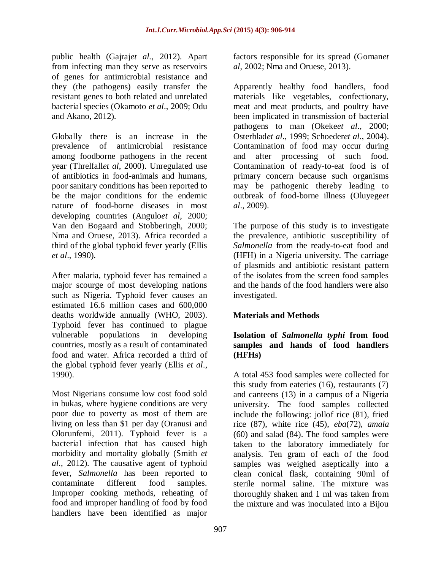public health (Gajraj*et al.,* 2012). Apart from infecting man they serve as reservoirs of genes for antimicrobial resistance and they (the pathogens) easily transfer the resistant genes to both related and unrelated bacterial species (Okamoto *et al*., 2009; Odu and Akano, 2012).

Globally there is an increase in the prevalence of antimicrobial resistance among foodborne pathogens in the recent year (Threlfall*et al*, 2000). Unregulated use of antibiotics in food-animals and humans, poor sanitary conditions has been reported to be the major conditions for the endemic nature of food-borne diseases in most developing countries (Angulo*et al*, 2000; Van den Bogaard and Stobberingh, 2000; Nma and Oruese, 2013). Africa recorded a third of the global typhoid fever yearly (Ellis *et al*., 1990).

After malaria, typhoid fever has remained a major scourge of most developing nations such as Nigeria. Typhoid fever causes an estimated 16.6 million cases and 600,000 deaths worldwide annually (WHO, 2003). Typhoid fever has continued to plague vulnerable populations in developing countries, mostly as a result of contaminated food and water. Africa recorded a third of the global typhoid fever yearly (Ellis *et al*., 1990).

Most Nigerians consume low cost food sold in bukas, where hygiene conditions are very poor due to poverty as most of them are living on less than \$1 per day (Oranusi and Olorunfemi, 2011). Typhoid fever is a bacterial infection that has caused high morbidity and mortality globally (Smith *et al*., 2012). The causative agent of typhoid fever, *Salmonella* has been reported to contaminate different food samples. Improper cooking methods, reheating of food and improper handling of food by food handlers have been identified as major

factors responsible for its spread (Goman*et al*, 2002; Nma and Oruese, 2013).

Apparently healthy food handlers, food materials like vegetables, confectionary, meat and meat products, and poultry have been implicated in transmission of bacterial pathogens to man (Okeke*et al*., 2000; Osterblad*et al*., 1999; Schoeder*et al*., 2004). Contamination of food may occur during and after processing of such food. Contamination of ready-to-eat food is of primary concern because such organisms may be pathogenic thereby leading to outbreak of food-borne illness (Oluyege*et al*., 2009).

The purpose of this study is to investigate the prevalence, antibiotic susceptibility of *Salmonella* from the ready-to-eat food and (HFH) in a Nigeria university. The carriage of plasmids and antibiotic resistant pattern of the isolates from the screen food samples and the hands of the food handlers were also investigated.

# **Materials and Methods**

## **Isolation of** *Salmonella typhi* **from food samples and hands of food handlers (HFHs)**

A total 453 food samples were collected for this study from eateries (16), restaurants (7) and canteens (13) in a campus of a Nigeria university. The food samples collected include the following: jollof rice (81), fried rice (87), white rice (45), *eba*(72), *amala* (60) and salad (84). The food samples were taken to the laboratory immediately for analysis. Ten gram of each of the food samples was weighed aseptically into a clean conical flask, containing 90ml of sterile normal saline. The mixture was thoroughly shaken and 1 ml was taken from the mixture and was inoculated into a Bijou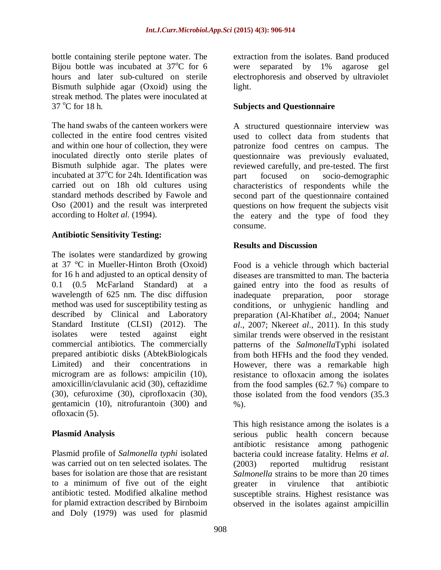bottle containing sterile peptone water. The Bijou bottle was incubated at  $37^{\circ}$ C for 6 hours and later sub-cultured on sterile Bismuth sulphide agar (Oxoid) using the streak method. The plates were inoculated at  $37 \degree C$  for 18 h.

The hand swabs of the canteen workers were collected in the entire food centres visited and within one hour of collection, they were inoculated directly onto sterile plates of Bismuth sulphide agar. The plates were incubated at 37°C for 24h. Identification was carried out on 18h old cultures using standard methods described by Fawole and Oso (2001) and the result was interpreted according to Holt*et al.* (1994).

## **Antibiotic Sensitivity Testing:**

The isolates were standardized by growing at 37 °C in Mueller-Hinton Broth (Oxoid) for 16 h and adjusted to an optical density of 0.1 (0.5 McFarland Standard) at a wavelength of 625 nm. The disc diffusion method was used for susceptibility testing as described by Clinical and Laboratory Standard Institute (CLSI) (2012). The isolates were tested against eight commercial antibiotics. The commercially prepared antibiotic disks (AbtekBiologicals Limited) and their concentrations in microgram are as follows: ampicilin (10), amoxicillin/clavulanic acid (30), ceftazidime (30), cefuroxime (30), ciprofloxacin (30), gentamicin (10), nitrofurantoin (300) and ofloxacin (5).

# **Plasmid Analysis**

Plasmid profile of *Salmonella typhi* isolated was carried out on ten selected isolates. The bases for isolation are those that are resistant to a minimum of five out of the eight antibiotic tested. Modified alkaline method for plamid extraction described by Birnboim and Doly (1979) was used for plasmid

extraction from the isolates. Band produced were separated by 1% agarose gel electrophoresis and observed by ultraviolet light.

# **Subjects and Questionnaire**

A structured questionnaire interview was used to collect data from students that patronize food centres on campus. The questionnaire was previously evaluated, reviewed carefully, and pre-tested. The first part focused on socio-demographic characteristics of respondents while the second part of the questionnaire contained questions on how frequent the subjects visit the eatery and the type of food they consume.

## **Results and Discussion**

Food is a vehicle through which bacterial diseases are transmitted to man. The bacteria gained entry into the food as results of inadequate preparation, poor storage conditions, or unhygienic handling and preparation (Al-Khatib*et al*., 2004; Nanu*et al*., 2007; Nkere*et al*., 2011). In this study similar trends were observed in the resistant patterns of the *Salmonella*Typhi isolated from both HFHs and the food they vended. However, there was a remarkable high resistance to ofloxacin among the isolates from the food samples (62.7 %) compare to those isolated from the food vendors (35.3 %).

This high resistance among the isolates is a serious public health concern because antibiotic resistance among pathogenic bacteria could increase fatality. Helms *et al*. (2003) reported multidrug resistant *Salmonella* strains to be more than 20 times greater in virulence that antibiotic susceptible strains. Highest resistance was observed in the isolates against ampicillin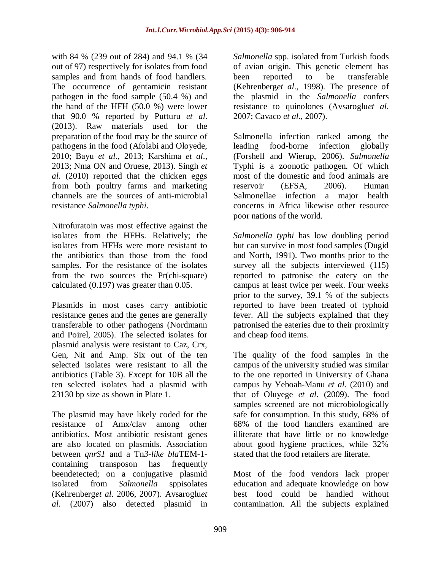with 84 % (239 out of 284) and 94.1 % (34 out of 97) respectively for isolates from food samples and from hands of food handlers. The occurrence of gentamicin resistant pathogen in the food sample (50.4 %) and the hand of the HFH (50.0 %) were lower that 90.0 % reported by Putturu *et al*. (2013). Raw materials used for the preparation of the food may be the source of pathogens in the food (Afolabi and Oloyede, 2010; Bayu *et al*., 2013; Karshima *et al*., 2013; Nma ON and Oruese, 2013). Singh *et al*. (2010) reported that the chicken eggs from both poultry farms and marketing channels are the sources of anti-microbial resistance *Salmonella typhi*.

Nitrofuratoin was most effective against the isolates from the HFHs. Relatively; the isolates from HFHs were more resistant to the antibiotics than those from the food samples. For the resistance of the isolates from the two sources the Pr(chi-square) calculated (0.197) was greater than 0.05.

Plasmids in most cases carry antibiotic resistance genes and the genes are generally transferable to other pathogens (Nordmann and Poirel, 2005). The selected isolates for plasmid analysis were resistant to Caz, Crx, Gen, Nit and Amp. Six out of the ten selected isolates were resistant to all the antibiotics (Table 3). Except for 10B all the ten selected isolates had a plasmid with 23130 bp size as shown in Plate 1.

The plasmid may have likely coded for the resistance of Amx/clav among other antibiotics. Most antibiotic resistant genes are also located on plasmids. Association between *qnrS1* and a Tn*3-like bla*TEM-1 containing transposon has frequently beendetected; on a conjugative plasmid isolated from *Salmonella* sppisolates (Kehrenberg*et al*. 2006, 2007). Avsaroglu*et al*. (2007) also detected plasmid in

*Salmonella* spp. isolated from Turkish foods of avian origin. This genetic element has been reported to be transferable (Kehrenberg*et al*., 1998). The presence of the plasmid in the *Salmonella* confers resistance to quinolones (Avsaroglu*et al*. 2007; Cavaco *et al*., 2007).

Salmonella infection ranked among the leading food-borne infection globally (Forshell and Wierup, 2006). *Salmonella*  Typhi is a zoonotic pathogen. Of which most of the domestic and food animals are reservoir (EFSA, 2006). Human Salmonellae infection a major health concerns in Africa likewise other resource poor nations of the world.

*Salmonella typhi* has low doubling period but can survive in most food samples (Dugid and North, 1991). Two months prior to the survey all the subjects interviewed  $(115)$ reported to patronise the eatery on the campus at least twice per week. Four weeks prior to the survey, 39.1 % of the subjects reported to have been treated of typhoid fever. All the subjects explained that they patronised the eateries due to their proximity and cheap food items.

The quality of the food samples in the campus of the university studied was similar to the one reported in University of Ghana campus by Yeboah-Manu *et al*. (2010) and that of Oluyege *et al*. (2009). The food samples screened are not microbiologically safe for consumption. In this study, 68% of 68% of the food handlers examined are illiterate that have little or no knowledge about good hygiene practices, while 32% stated that the food retailers are literate.

Most of the food vendors lack proper education and adequate knowledge on how best food could be handled without contamination. All the subjects explained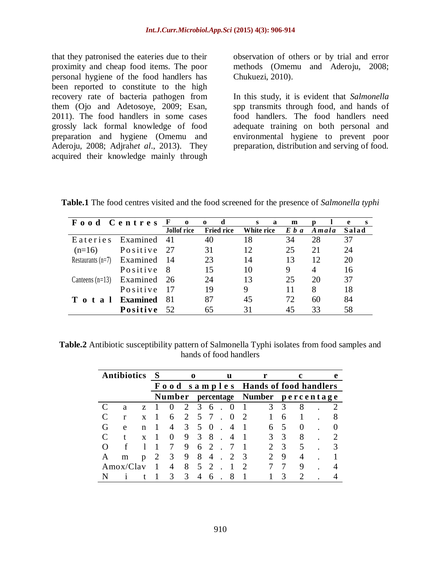that they patronised the eateries due to their proximity and cheap food items. The poor personal hygiene of the food handlers has been reported to constitute to the high recovery rate of bacteria pathogen from them (Ojo and Adetosoye, 2009; Esan, 2011). The food handlers in some cases grossly lack formal knowledge of food preparation and hygiene (Omemu and Aderoju, 2008; Adjrah*et al*., 2013). They acquired their knowledge mainly through observation of others or by trial and error methods (Omemu and Aderoju, 2008; Chukuezi, 2010).

In this study, it is evident that *Salmonella*  spp transmits through food, and hands of food handlers. The food handlers need adequate training on both personal and environmental hygiene to prevent poor preparation, distribution and serving of food.

**Table.1** The food centres visited and the food screened for the presence of *Salmonella typhi*

| Food Centres F o                |                 |                    | d<br>$\mathbf{o}$ | a<br>S.    | m     |                | e<br><b>S</b> |
|---------------------------------|-----------------|--------------------|-------------------|------------|-------|----------------|---------------|
|                                 |                 | <b>Jollof</b> rice | <b>Fried rice</b> | White rice | E b a | Amala          | Salad         |
| Eateries                        | Examined 41     |                    | 40                | 18         | 34    | 28             | 37            |
| $(n=16)$                        | Positive        | 27                 | 31                | 12         | 25    | 21             | 24            |
| Restaurants $(n=7)$ Examined 14 |                 |                    | 23                | 14         | 13    | 12             | 20            |
|                                 | Positive        | - 8                | 15                | 10         | 9     | $\overline{A}$ | 16            |
| Canteens $(n=13)$               | Examined 26     |                    | 24                | 13         | 25    | 20             | 37            |
|                                 | Positive        | -17                | 19                | 9          | 11    | 8              | 18            |
| Total                           | <b>Examined</b> | 81                 | 87                | 45         | 72    | 60             | 84            |
|                                 | Positive        | .52                | 65                | 31         | 45    | 33             | 58            |

**Table.2** Antibiotic susceptibility pattern of Salmonella Typhi isolates from food samples and hands of food handlers

| <b>Antibiotics</b> |           | S           |               |   | 0 |            |                             | 11 |                                |   |                   |   |   |  |  |
|--------------------|-----------|-------------|---------------|---|---|------------|-----------------------------|----|--------------------------------|---|-------------------|---|---|--|--|
|                    |           | Food        |               |   |   |            |                             |    | samples Hands of food handlers |   |                   |   |   |  |  |
|                    |           |             | <b>Number</b> |   |   | percentage |                             |    |                                |   | Number percentage |   |   |  |  |
|                    | a         | Z.          |               |   |   | 3          | 6                           |    |                                |   |                   |   | 8 |  |  |
|                    | r         | $\mathbf x$ |               |   |   |            |                             |    |                                |   |                   | 6 |   |  |  |
| ſì                 | e         | n           |               |   |   |            |                             |    |                                |   |                   |   |   |  |  |
|                    |           | X           |               |   | 9 |            | 8                           |    |                                |   |                   |   | 8 |  |  |
|                    |           |             |               |   | 9 | 6          | $\mathcal{D}_{\mathcal{L}}$ |    |                                |   |                   | 3 | 5 |  |  |
| А                  | m         | p           |               | 3 | 9 | 8          | 4                           |    |                                | 3 |                   | 9 |   |  |  |
|                    | Amox/Clav |             |               |   | 8 |            |                             |    |                                |   |                   |   | 9 |  |  |
|                    |           |             |               | 3 | 3 |            |                             |    |                                |   |                   |   |   |  |  |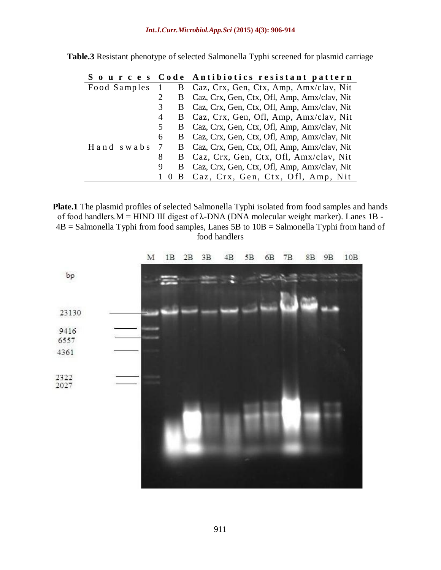|              |                | Sources Code Antibiotics resistant pattern      |
|--------------|----------------|-------------------------------------------------|
| Food Samples | $\overline{1}$ | B Caz, Crx, Gen, Ctx, Amp, Amx/clav, Nit        |
|              | B              | Caz, Crx, Gen, Ctx, Ofl, Amp, Amx/clav, Nit     |
|              |                | B Caz, Crx, Gen, Ctx, Ofl, Amp, Amx/clav, Nit   |
|              | 4              | B Caz, Crx, Gen, Ofl, Amp, Amx/clav, Nit        |
|              |                | B Caz, Crx, Gen, Ctx, Ofl, Amp, Amx/clav, Nit   |
|              | 6              | B Caz, Crx, Gen, Ctx, Ofl, Amp, Amx/clav, Nit   |
| Hand swabs   |                | 7 B Caz, Crx, Gen, Ctx, Ofl, Amp, Amx/clav, Nit |
|              | 8<br>B.        | Caz, Crx, Gen, Ctx, Ofl, Amx/clav, Nit          |
|              | 9<br>B         | Caz, Crx, Gen, Ctx, Ofl, Amp, Amx/clav, Nit     |
|              |                | 1 0 B Caz, Crx, Gen, Ctx, Ofl, Amp, Nit         |

**Table.3** Resistant phenotype of selected Salmonella Typhi screened for plasmid carriage

**Plate.1** The plasmid profiles of selected Salmonella Typhi isolated from food samples and hands of food handlers.M = HIND III digest of λ-DNA (DNA molecular weight marker). Lanes 1B - 4B = Salmonella Typhi from food samples, Lanes 5B to 10B = Salmonella Typhi from hand of food handlers

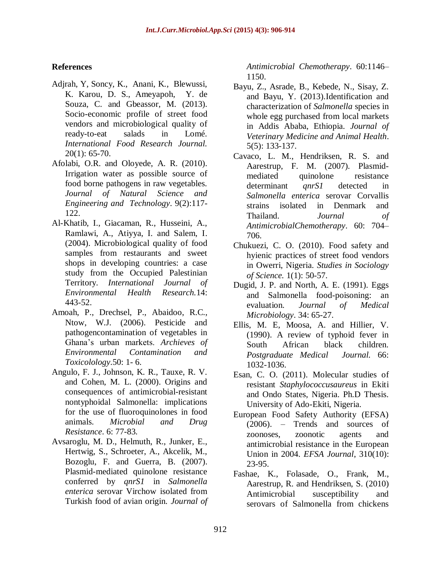## **References**

- Adjrah, Y, Soncy, K., Anani, K., Blewussi, K. Karou, D. S., Ameyapoh, Y. de Souza, C. and Gbeassor, M. (2013). Socio-economic profile of street food vendors and microbiological quality of ready-to-eat salads in Lomé. *International Food Research Journal.*  20(1): 65-70.
- Afolabi, O.R. and Oloyede, A. R. (2010). Irrigation water as possible source of food borne pathogens in raw vegetables. *Journal of Natural Science and Engineering and Technology*. 9(2):117- 122.
- Al-Khatib, I., Giacaman, R., Husseini, A., Ramlawi, A., Atiyya, I. and Salem, I. (2004). Microbiological quality of food samples from restaurants and sweet shops in developing countries: a case study from the Occupied Palestinian Territory. *International Journal of Environmental Health Research.*14: 443-52.
- Amoah, P., Drechsel, P., Abaidoo, R.C., Ntow, W.J. (2006). Pesticide and pathogencontamination of vegetables in Ghana's urban markets. *Archieves of Environmental Contamination and Toxicolology*.50: 1- 6.
- Angulo, F. J., Johnson, K. R., Tauxe, R. V. and Cohen, M. L. (2000). Origins and consequences of antimicrobial-resistant nontyphoidal Salmonella: implications for the use of fluoroquinolones in food animals. *Microbial and Drug Resistance*. 6: 77-83.
- Avsaroglu, M. D., Helmuth, R., Junker, E., Hertwig, S., Schroeter, A., Akcelik, M., Bozoglu, F. and Guerra, B. (2007). Plasmid-mediated quinolone resistance conferred by *qnrS1* in *Salmonella enterica* serovar Virchow isolated from Turkish food of avian origin. *Journal of*

*Antimicrobial Chemotherapy*. 60:1146– 1150.

- Bayu, Z., Asrade, B., Kebede, N., Sisay, Z. and Bayu, Y. (2013).Identification and characterization of *Salmonella* species in whole egg purchased from local markets in Addis Ababa, Ethiopia. *Journal of Veterinary Medicine and Animal Health*. 5(5): 133-137.
- Cavaco, L. M., Hendriksen, R. S. and Aarestrup, F. M. (2007). Plasmidmediated quinolone resistance determinant *qnrS1* detected in *Salmonella enterica* serovar Corvallis strains isolated in Denmark and Thailand. *Journal of AntimicrobialChemotherapy*. 60: 704– 706.
- Chukuezi, C. O. (2010). Food safety and hyienic practices of street food vendors in Owerri, Nigeria. *Studies in Sociology of Science.* 1(1): 50-57.
- Dugid, J. P. and North, A. E. (1991). Eggs and Salmonella food-poisoning: an evaluation. *Journal of Medical Microbiology*. 34: 65-27.
- Ellis, M. E, Moosa, A. and Hillier, V. (1990). A review of typhoid fever in South African black children. *Postgraduate Medical Journal.* 66: 1032-1036.
- Esan, C. O. (2011). Molecular studies of resistant *Staphylococcusaureus* in Ekiti and Ondo States, Nigeria. Ph.D Thesis. University of Ado-Ekiti, Nigeria.
- European Food Safety Authority (EFSA) (2006). – Trends and sources of zoonoses, zoonotic agents and antimicrobial resistance in the European Union in 2004. *EFSA Journal*, 310(10): 23-95.
- Fashae, K., Folasade, O., Frank, M., Aarestrup, R. and Hendriksen, S. (2010) Antimicrobial susceptibility and serovars of Salmonella from chickens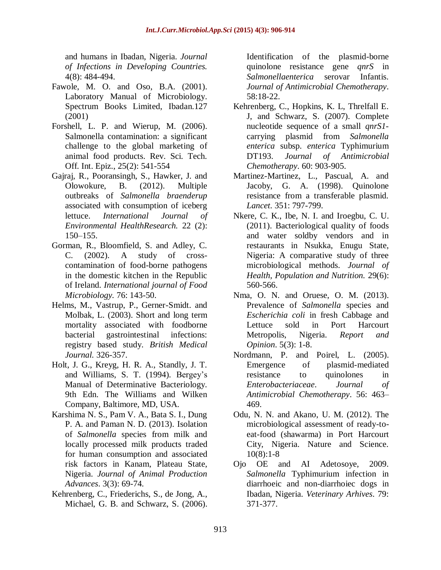and humans in Ibadan, Nigeria. *Journal of Infections in Developing Countries.* 4(8): 484-494.

- Fawole, M. O. and Oso, B.A. (2001). Laboratory Manual of Microbiology. Spectrum Books Limited, Ibadan.127 (2001)
- Forshell, L. P. and Wierup, M. (2006). Salmonella contamination: a significant challenge to the global marketing of animal food products. Rev. Sci. Tech. Off. Int. Epiz., 25(2): 541-554
- Gajraj, R., Pooransingh, S., Hawker, J. and Olowokure, B. (2012). Multiple outbreaks of *Salmonella braenderup*  associated with consumption of iceberg lettuce. *International Journal of Environmental HealthResearch.* 22 (2):  $150 - 155$ .
- Gorman, R., Bloomfield, S. and Adley, C. C. (2002). A study of crosscontamination of food-borne pathogens in the domestic kitchen in the Republic of Ireland. *International journal of Food Microbiology.* 76: 143-50.
- Helms, M., Vastrup, P., Gerner-Smidt. and Molbak, L. (2003). Short and long term mortality associated with foodborne bacterial gastrointestinal infections: registry based study. *British Medical Journal.* 326-357.
- Holt, J. G., Kreyg, H. R. A., Standly, J. T. and Williams, S. T. (1994). Bergey's Manual of Determinative Bacteriology. 9th Edn. The Williams and Wilken Company, Baltimore, MD, USA.
- Karshima N. S., Pam V. A., Bata S. I., Dung P. A. and Paman N. D. (2013). Isolation of *Salmonella* species from milk and locally processed milk products traded for human consumption and associated risk factors in Kanam, Plateau State, Nigeria. *Journal of Animal Production Advances*. 3(3): 69-74.
- Kehrenberg, C., Friederichs, S., de Jong, A., Michael, G. B. and Schwarz, S. (2006).

Identification of the plasmid-borne quinolone resistance gene *qnrS* in *Salmonellaenterica* serovar Infantis. *Journal of Antimicrobial Chemotherapy*. 58:18-22.

- Kehrenberg, C., Hopkins, K. L, Threlfall E. J, and Schwarz, S. (2007). Complete nucleotide sequence of a small *qnrS1* carrying plasmid from *Salmonella enterica* subsp. *enterica* Typhimurium DT193. *Journal of Antimicrobial Chemotherapy*. 60: 903-905.
- Martinez-Martinez, L., Pascual, A. and Jacoby, G. A. (1998). Quinolone resistance from a transferable plasmid. *Lancet*. 351: 797-799.
- Nkere, C. K., Ibe, N. I. and Iroegbu, C. U. (2011). Bacteriological quality of foods and water soldby vendors and in restaurants in Nsukka, Enugu State, Nigeria: A comparative study of three microbiological methods. *Journal of Health, Population and Nutrition.* 29(6): 560-566.
- Nma, O. N. and Oruese, O. M. (2013). Prevalence of *Salmonella* species and *Escherichia coli* in fresh Cabbage and Lettuce sold in Port Harcourt Metropolis, Nigeria. *Report and Opinion*. 5(3): 1-8.
- Nordmann, P. and Poirel, L. (2005). Emergence of plasmid-mediated resistance to quinolones in *Enterobacteriaceae*. *Journal of Antimicrobial Chemotherapy*. 56: 463– 469.
- Odu, N. N. and Akano, U. M. (2012). The microbiological assessment of ready-toeat-food (shawarma) in Port Harcourt City, Nigeria. Nature and Science. 10(8):1-8
- Ojo OE and AI Adetosoye, 2009. *Salmonella* Typhimurium infection in diarrhoeic and non-diarrhoiec dogs in Ibadan, Nigeria. *Veterinary Arhives*. 79: 371-377.